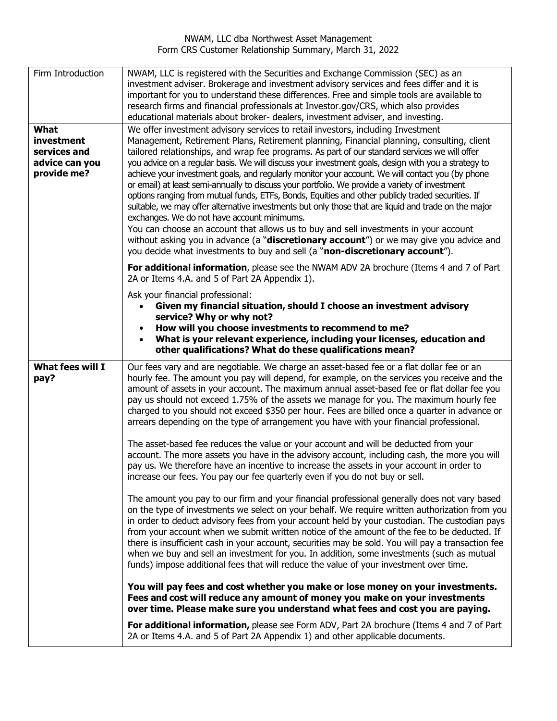NWAM, LLC dba Northwest Asset Management Form CRS Customer Relationship Summary, March 31, 2022

| Firm Introduction                                                   | NWAM, LLC is registered with the Securities and Exchange Commission (SEC) as an<br>investment adviser. Brokerage and investment advisory services and fees differ and it is<br>important for you to understand these differences. Free and simple tools are available to<br>research firms and financial professionals at Investor.gov/CRS, which also provides<br>educational materials about broker- dealers, investment adviser, and investing.                                                                                                                                                                                                                                                                                                                                                                                                                                                                                                                                                                                                                                                                        |
|---------------------------------------------------------------------|---------------------------------------------------------------------------------------------------------------------------------------------------------------------------------------------------------------------------------------------------------------------------------------------------------------------------------------------------------------------------------------------------------------------------------------------------------------------------------------------------------------------------------------------------------------------------------------------------------------------------------------------------------------------------------------------------------------------------------------------------------------------------------------------------------------------------------------------------------------------------------------------------------------------------------------------------------------------------------------------------------------------------------------------------------------------------------------------------------------------------|
| What<br>investment<br>services and<br>advice can you<br>provide me? | We offer investment advisory services to retail investors, including Investment<br>Management, Retirement Plans, Retirement planning, Financial planning, consulting, client<br>tailored relationships, and wrap fee programs. As part of our standard services we will offer<br>you advice on a regular basis. We will discuss your investment goals, design with you a strategy to<br>achieve your investment goals, and regularly monitor your account. We will contact you (by phone<br>or email) at least semi-annually to discuss your portfolio. We provide a variety of investment<br>options ranging from mutual funds, ETFs, Bonds, Equities and other publicly traded securities. If<br>suitable, we may offer alternative investments but only those that are liquid and trade on the major<br>exchanges. We do not have account minimums.<br>You can choose an account that allows us to buy and sell investments in your account<br>without asking you in advance (a "discretionary account") or we may give you advice and<br>you decide what investments to buy and sell (a "non-discretionary account"). |
|                                                                     | For additional information, please see the NWAM ADV 2A brochure (Items 4 and 7 of Part<br>2A or Items 4.A. and 5 of Part 2A Appendix 1).                                                                                                                                                                                                                                                                                                                                                                                                                                                                                                                                                                                                                                                                                                                                                                                                                                                                                                                                                                                  |
|                                                                     | Ask your financial professional:<br>Given my financial situation, should I choose an investment advisory<br>service? Why or why not?<br>How will you choose investments to recommend to me?<br>What is your relevant experience, including your licenses, education and<br>other qualifications? What do these qualifications mean?                                                                                                                                                                                                                                                                                                                                                                                                                                                                                                                                                                                                                                                                                                                                                                                       |
| What fees will I<br>pay?                                            | Our fees vary and are negotiable. We charge an asset-based fee or a flat dollar fee or an<br>hourly fee. The amount you pay will depend, for example, on the services you receive and the<br>amount of assets in your account. The maximum annual asset-based fee or flat dollar fee you<br>pay us should not exceed 1.75% of the assets we manage for you. The maximum hourly fee<br>charged to you should not exceed \$350 per hour. Fees are billed once a quarter in advance or<br>arrears depending on the type of arrangement you have with your financial professional.                                                                                                                                                                                                                                                                                                                                                                                                                                                                                                                                            |
|                                                                     | The asset-based fee reduces the value or your account and will be deducted from your<br>account. The more assets you have in the advisory account, including cash, the more you will<br>pay us. We therefore have an incentive to increase the assets in your account in order to<br>increase our fees. You pay our fee quarterly even if you do not buy or sell.                                                                                                                                                                                                                                                                                                                                                                                                                                                                                                                                                                                                                                                                                                                                                         |
|                                                                     | The amount you pay to our firm and your financial professional generally does not vary based<br>on the type of investments we select on your behalf. We require written authorization from you<br>in order to deduct advisory fees from your account held by your custodian. The custodian pays<br>from your account when we submit written notice of the amount of the fee to be deducted. If<br>there is insufficient cash in your account, securities may be sold. You will pay a transaction fee<br>when we buy and sell an investment for you. In addition, some investments (such as mutual<br>funds) impose additional fees that will reduce the value of your investment over time.                                                                                                                                                                                                                                                                                                                                                                                                                               |
|                                                                     | You will pay fees and cost whether you make or lose money on your investments.<br>Fees and cost will reduce any amount of money you make on your investments<br>over time. Please make sure you understand what fees and cost you are paying.                                                                                                                                                                                                                                                                                                                                                                                                                                                                                                                                                                                                                                                                                                                                                                                                                                                                             |
|                                                                     | For additional information, please see Form ADV, Part 2A brochure (Items 4 and 7 of Part<br>2A or Items 4.A. and 5 of Part 2A Appendix 1) and other applicable documents.                                                                                                                                                                                                                                                                                                                                                                                                                                                                                                                                                                                                                                                                                                                                                                                                                                                                                                                                                 |